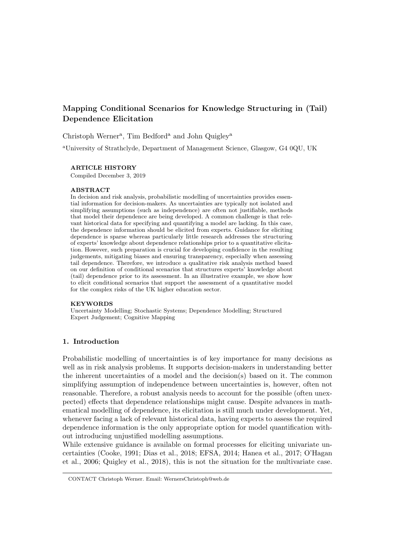# Mapping Conditional Scenarios for Knowledge Structuring in (Tail) Dependence Elicitation

Christoph Werner<sup>a</sup>, Tim Bedford<sup>a</sup> and John Quigley<sup>a</sup>

<sup>a</sup>University of Strathclyde, Department of Management Science, Glasgow, G4 0QU, UK

### ARTICLE HISTORY

Compiled December 3, 2019

#### **ABSTRACT**

In decision and risk analysis, probabilistic modelling of uncertainties provides essential information for decision-makers. As uncertainties are typically not isolated and simplifying assumptions (such as independence) are often not justifiable, methods that model their dependence are being developed. A common challenge is that relevant historical data for specifying and quantifying a model are lacking. In this case, the dependence information should be elicited from experts. Guidance for eliciting dependence is sparse whereas particularly little research addresses the structuring of experts' knowledge about dependence relationships prior to a quantitative elicitation. However, such preparation is crucial for developing confidence in the resulting judgements, mitigating biases and ensuring transparency, especially when assessing tail dependence. Therefore, we introduce a qualitative risk analysis method based on our definition of conditional scenarios that structures experts' knowledge about (tail) dependence prior to its assessment. In an illustrative example, we show how to elicit conditional scenarios that support the assessment of a quantitative model for the complex risks of the UK higher education sector.

#### KEYWORDS

Uncertainty Modelling; Stochastic Systems; Dependence Modelling; Structured Expert Judgement; Cognitive Mapping

### 1. Introduction

Probabilistic modelling of uncertainties is of key importance for many decisions as well as in risk analysis problems. It supports decision-makers in understanding better the inherent uncertainties of a model and the decision(s) based on it. The common simplifying assumption of independence between uncertainties is, however, often not reasonable. Therefore, a robust analysis needs to account for the possible (often unexpected) effects that dependence relationships might cause. Despite advances in mathematical modelling of dependence, its elicitation is still much under development. Yet, whenever facing a lack of relevant historical data, having experts to assess the required dependence information is the only appropriate option for model quantification without introducing unjustified modelling assumptions.

While extensive guidance is available on formal processes for eliciting univariate uncertainties (Cooke, 1991; Dias et al., 2018; EFSA, 2014; Hanea et al., 2017; O'Hagan et al., 2006; Quigley et al., 2018), this is not the situation for the multivariate case.

CONTACT Christoph Werner. Email: WernersChristoph@web.de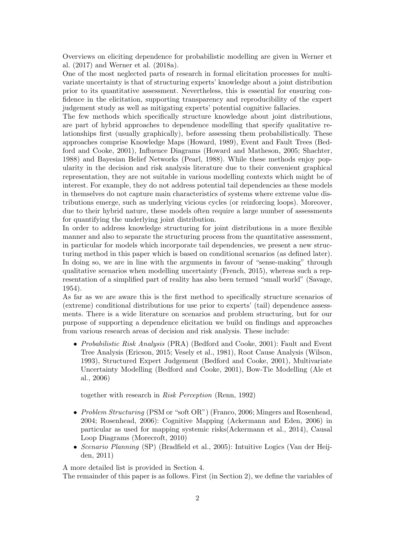Overviews on eliciting dependence for probabilistic modelling are given in Werner et al. (2017) and Werner et al. (2018a).

One of the most neglected parts of research in formal elicitation processes for multivariate uncertainty is that of structuring experts' knowledge about a joint distribution prior to its quantitative assessment. Nevertheless, this is essential for ensuring confidence in the elicitation, supporting transparency and reproducibility of the expert judgement study as well as mitigating experts' potential cognitive fallacies.

The few methods which specifically structure knowledge about joint distributions, are part of hybrid approaches to dependence modelling that specify qualitative relationships first (usually graphically), before assessing them probabilistically. These approaches comprise Knowledge Maps (Howard, 1989), Event and Fault Trees (Bedford and Cooke, 2001), Influence Diagrams (Howard and Matheson, 2005; Shachter, 1988) and Bayesian Belief Networks (Pearl, 1988). While these methods enjoy popularity in the decision and risk analysis literature due to their convenient graphical representation, they are not suitable in various modelling contexts which might be of interest. For example, they do not address potential tail dependencies as these models in themselves do not capture main characteristics of systems where extreme value distributions emerge, such as underlying vicious cycles (or reinforcing loops). Moreover, due to their hybrid nature, these models often require a large number of assessments for quantifying the underlying joint distribution.

In order to address knowledge structuring for joint distributions in a more flexible manner and also to separate the structuring process from the quantitative assessment, in particular for models which incorporate tail dependencies, we present a new structuring method in this paper which is based on conditional scenarios (as defined later). In doing so, we are in line with the arguments in favour of "sense-making" through qualitative scenarios when modelling uncertainty (French, 2015), whereas such a representation of a simplified part of reality has also been termed "small world" (Savage, 1954).

As far as we are aware this is the first method to specifically structure scenarios of (extreme) conditional distributions for use prior to experts' (tail) dependence assessments. There is a wide literature on scenarios and problem structuring, but for our purpose of supporting a dependence elicitation we build on findings and approaches from various research areas of decision and risk analysis. These include:

• Probabilistic Risk Analysis (PRA) (Bedford and Cooke, 2001): Fault and Event Tree Analysis (Ericson, 2015; Vesely et al., 1981), Root Cause Analysis (Wilson, 1993), Structured Expert Judgement (Bedford and Cooke, 2001), Multivariate Uncertainty Modelling (Bedford and Cooke, 2001), Bow-Tie Modelling (Ale et al., 2006)

together with research in Risk Perception (Renn, 1992)

- Problem Structuring (PSM or "soft OR") (Franco, 2006; Mingers and Rosenhead, 2004; Rosenhead, 2006): Cognitive Mapping (Ackermann and Eden, 2006) in particular as used for mapping systemic risks(Ackermann et al., 2014), Causal Loop Diagrams (Morecroft, 2010)
- Scenario Planning (SP) (Bradfield et al., 2005): Intuitive Logics (Van der Heijden, 2011)

A more detailed list is provided in Section 4.

The remainder of this paper is as follows. First (in Section 2), we define the variables of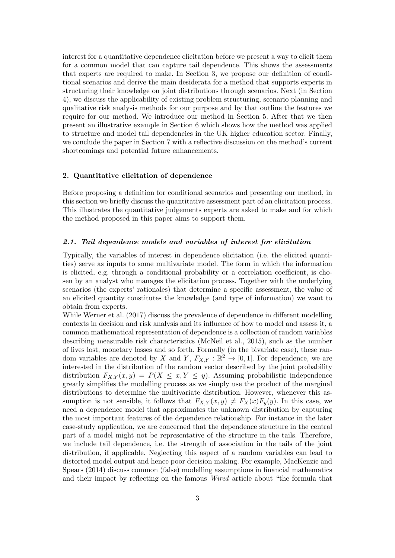interest for a quantitative dependence elicitation before we present a way to elicit them for a common model that can capture tail dependence. This shows the assessments that experts are required to make. In Section 3, we propose our definition of conditional scenarios and derive the main desiderata for a method that supports experts in structuring their knowledge on joint distributions through scenarios. Next (in Section 4), we discuss the applicability of existing problem structuring, scenario planning and qualitative risk analysis methods for our purpose and by that outline the features we require for our method. We introduce our method in Section 5. After that we then present an illustrative example in Section 6 which shows how the method was applied to structure and model tail dependencies in the UK higher education sector. Finally, we conclude the paper in Section 7 with a reflective discussion on the method's current shortcomings and potential future enhancements.

### 2. Quantitative elicitation of dependence

Before proposing a definition for conditional scenarios and presenting our method, in this section we briefly discuss the quantitative assessment part of an elicitation process. This illustrates the quantitative judgements experts are asked to make and for which the method proposed in this paper aims to support them.

### 2.1. Tail dependence models and variables of interest for elicitation

Typically, the variables of interest in dependence elicitation (i.e. the elicited quantities) serve as inputs to some multivariate model. The form in which the information is elicited, e.g. through a conditional probability or a correlation coefficient, is chosen by an analyst who manages the elicitation process. Together with the underlying scenarios (the experts' rationales) that determine a specific assessment, the value of an elicited quantity constitutes the knowledge (and type of information) we want to obtain from experts.

While Werner et al. (2017) discuss the prevalence of dependence in different modelling contexts in decision and risk analysis and its influence of how to model and assess it, a common mathematical representation of dependence is a collection of random variables describing measurable risk characteristics (McNeil et al., 2015), such as the number of lives lost, monetary losses and so forth. Formally (in the bivariate case), these random variables are denoted by X and Y,  $F_{X,Y} : \mathbb{R}^2 \to [0,1]$ . For dependence, we are interested in the distribution of the random vector described by the joint probability distribution  $F_{X,Y}(x,y) = P(X \leq x, Y \leq y)$ . Assuming probabilistic independence greatly simplifies the modelling process as we simply use the product of the marginal distributions to determine the multivariate distribution. However, whenever this assumption is not sensible, it follows that  $F_{X,Y}(x,y) \neq F_X(x)F_y(y)$ . In this case, we need a dependence model that approximates the unknown distribution by capturing the most important features of the dependence relationship. For instance in the later case-study application, we are concerned that the dependence structure in the central part of a model might not be representative of the structure in the tails. Therefore, we include tail dependence, i.e. the strength of association in the tails of the joint distribution, if applicable. Neglecting this aspect of a random variables can lead to distorted model output and hence poor decision making. For example, MacKenzie and Spears (2014) discuss common (false) modelling assumptions in financial mathematics and their impact by reflecting on the famous Wired article about "the formula that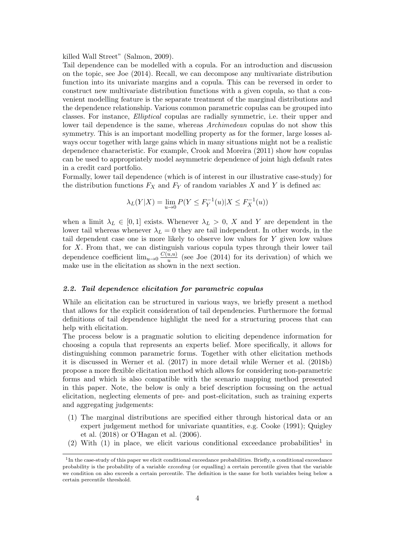killed Wall Street" (Salmon, 2009).

Tail dependence can be modelled with a copula. For an introduction and discussion on the topic, see Joe (2014). Recall, we can decompose any multivariate distribution function into its univariate margins and a copula. This can be reversed in order to construct new multivariate distribution functions with a given copula, so that a convenient modelling feature is the separate treatment of the marginal distributions and the dependence relationship. Various common parametric copulas can be grouped into classes. For instance, Elliptical copulas are radially symmetric, i.e. their upper and lower tail dependence is the same, whereas Archimedean copulas do not show this symmetry. This is an important modelling property as for the former, large losses always occur together with large gains which in many situations might not be a realistic dependence characteristic. For example, Crook and Moreira (2011) show how copulas can be used to appropriately model asymmetric dependence of joint high default rates in a credit card portfolio.

Formally, lower tail dependence (which is of interest in our illustrative case-study) for the distribution functions  $F_X$  and  $F_Y$  of random variables X and Y is defined as:

$$
\lambda_L(Y|X) = \lim_{u \to 0} P(Y \le F_Y^{-1}(u) | X \le F_X^{-1}(u))
$$

when a limit  $\lambda_L \in [0,1]$  exists. Whenever  $\lambda_L > 0$ , X and Y are dependent in the lower tail whereas whenever  $\lambda_L = 0$  they are tail independent. In other words, in the tail dependent case one is more likely to observe low values for Y given low values for X. From that, we can distinguish various copula types through their lower tail dependence coefficient  $\lim_{u\to 0} \frac{C(u,u)}{u}$  $\frac{u, u}{u}$  (see Joe (2014) for its derivation) of which we make use in the elicitation as shown in the next section.

### 2.2. Tail dependence elicitation for parametric copulas

While an elicitation can be structured in various ways, we briefly present a method that allows for the explicit consideration of tail dependencies. Furthermore the formal definitions of tail dependence highlight the need for a structuring process that can help with elicitation.

The process below is a pragmatic solution to eliciting dependence information for choosing a copula that represents an experts belief. More specifically, it allows for distinguishing common parametric forms. Together with other elicitation methods it is discussed in Werner et al. (2017) in more detail while Werner et al. (2018b) propose a more flexible elicitation method which allows for considering non-parametric forms and which is also compatible with the scenario mapping method presented in this paper. Note, the below is only a brief description focussing on the actual elicitation, neglecting elements of pre- and post-elicitation, such as training experts and aggregating judgements:

- (1) The marginal distributions are specified either through historical data or an expert judgement method for univariate quantities, e.g. Cooke (1991); Quigley et al. (2018) or O'Hagan et al. (2006).
- (2) With  $(1)$  in place, we elicit various conditional exceedance probabilities<sup>1</sup> in

<sup>&</sup>lt;sup>1</sup>In the case-study of this paper we elicit conditional exceedance probabilities. Briefly, a conditional exceedance probability is the probability of a variable exceeding (or equalling) a certain percentile given that the variable we condition on also exceeds a certain percentile. The definition is the same for both variables being below a certain percentile threshold.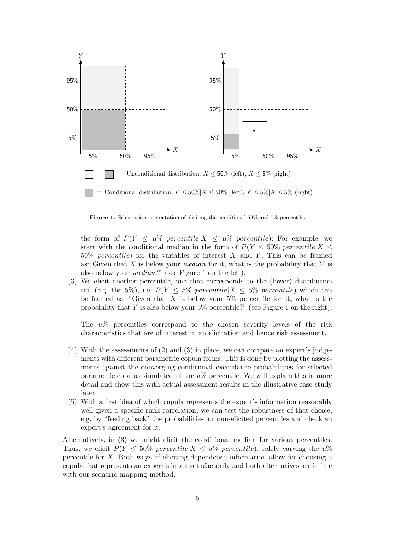

Figure 1. Schematic representation of eliciting the conditional 50% and 5% percentile.

the form of  $P(Y \leq u\% \text{ percentile})X \leq u\% \text{ percentile}$ : For example, we start with the conditional median in the form of  $P(Y \le 50\% \text{ percentile} | X \le$  $50\%$  percentile) for the variables of interest X and Y. This can be framed as: "Given that  $X$  is below your *median* for it, what is the probability that  $Y$  is also below your median?" (see Figure 1 on the left).

(3) We elicit another percentile, one that corresponds to the (lower) distribution tail (e.g. the 5%), i.e.  $P(Y \leq 5\% \text{ } percentile | X \leq 5\% \text{ } percentile)$  which can be framed as: "Given that X is below your  $5\%$  percentile for it, what is the probability that  $Y$  is also below your 5% percentile?" (see Figure 1 on the right).

The u% percentiles correspond to the chosen severity levels of the risk characteristics that are of interest in an elicitation and hence risk assessment.

- (4) With the assessments of (2) and (3) in place, we can compare an expert's judgements with different parametric copula forms. This is done by plotting the assessments against the converging conditional exceedance probabilities for selected parametric copulas simulated at the  $u\%$  percentile. We will explain this in more detail and show this with actual assessment results in the illustrative case-study later.
- (5) With a first idea of which copula represents the expert's information reasonably well given a specific rank correlation, we can test the robustness of that choice, e.g. by "feeding back" the probabilities for non-elicited percentiles and check an expert's agreement for it.

Alternatively, in (3) we might elicit the conditional median for various percentiles. Thus, we elicit  $P(Y \leq 50\% \text{ percentile})X \leq u\% \text{ percentile}$ , solely varying the  $u\%$ percentile for X. Both ways of eliciting dependence information allow for choosing a copula that represents an expert's input satisfactorily and both alternatives are in line with our scenario mapping method.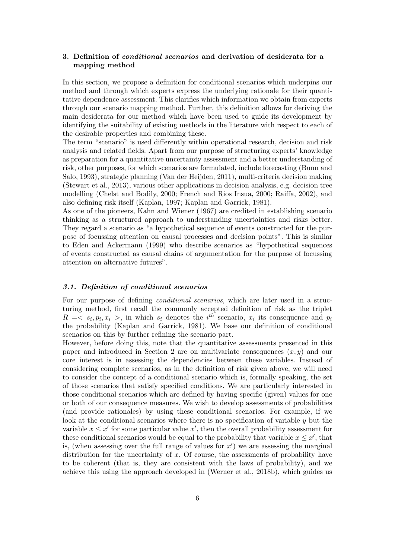# 3. Definition of conditional scenarios and derivation of desiderata for a mapping method

In this section, we propose a definition for conditional scenarios which underpins our method and through which experts express the underlying rationale for their quantitative dependence assessment. This clarifies which information we obtain from experts through our scenario mapping method. Further, this definition allows for deriving the main desiderata for our method which have been used to guide its development by identifying the suitability of existing methods in the literature with respect to each of the desirable properties and combining these.

The term "scenario" is used differently within operational research, decision and risk analysis and related fields. Apart from our purpose of structuring experts' knowledge as preparation for a quantitative uncertainty assessment and a better understanding of risk, other purposes, for which scenarios are formulated, include forecasting (Bunn and Salo, 1993), strategic planning (Van der Heijden, 2011), multi-criteria decision making (Stewart et al., 2013), various other applications in decision analysis, e.g. decision tree modelling (Chelst and Bodily, 2000; French and Rios Insua, 2000; Raiffa, 2002), and also defining risk itself (Kaplan, 1997; Kaplan and Garrick, 1981).

As one of the pioneers, Kahn and Wiener (1967) are credited in establishing scenario thinking as a structured approach to understanding uncertainties and risks better. They regard a scenario as "a hypothetical sequence of events constructed for the purpose of focussing attention on causal processes and decision points". This is similar to Eden and Ackermann (1999) who describe scenarios as "hypothetical sequences of events constructed as causal chains of argumentation for the purpose of focussing attention on alternative futures".

### 3.1. Definition of conditional scenarios

For our purpose of defining conditional scenarios, which are later used in a structuring method, first recall the commonly accepted definition of risk as the triplet  $R = \langle s_i, p_i, x_i \rangle$ , in which  $s_i$  denotes the i<sup>th</sup> scenario,  $x_i$  its consequence and  $p_i$ the probability (Kaplan and Garrick, 1981). We base our definition of conditional scenarios on this by further refining the scenario part.

However, before doing this, note that the quantitative assessments presented in this paper and introduced in Section 2 are on multivariate consequences  $(x, y)$  and our core interest is in assessing the dependencies between these variables. Instead of considering complete scenarios, as in the definition of risk given above, we will need to consider the concept of a conditional scenario which is, formally speaking, the set of those scenarios that satisfy specified conditions. We are particularly interested in those conditional scenarios which are defined by having specific (given) values for one or both of our consequence measures. We wish to develop assessments of probabilities (and provide rationales) by using these conditional scenarios. For example, if we look at the conditional scenarios where there is no specification of variable  $y$  but the variable  $x \leq x'$  for some particular value  $x'$ , then the overall probability assessment for these conditional scenarios would be equal to the probability that variable  $x \leq x'$ , that is, (when assessing over the full range of values for  $x'$ ) we are assessing the marginal distribution for the uncertainty of  $x$ . Of course, the assessments of probability have to be coherent (that is, they are consistent with the laws of probability), and we achieve this using the approach developed in (Werner et al., 2018b), which guides us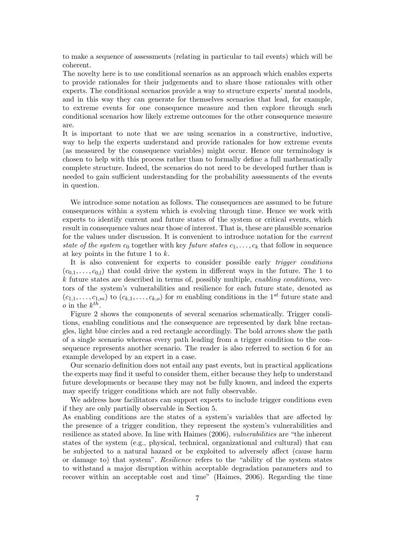to make a sequence of assessments (relating in particular to tail events) which will be coherent.

The novelty here is to use conditional scenarios as an approach which enables experts to provide rationales for their judgements and to share those rationales with other experts. The conditional scenarios provide a way to structure experts' mental models, and in this way they can generate for themselves scenarios that lead, for example, to extreme events for one consequence measure and then explore through such conditional scenarios how likely extreme outcomes for the other consequence measure are.

It is important to note that we are using scenarios in a constructive, inductive, way to help the experts understand and provide rationales for how extreme events (as measured by the consequence variables) might occur. Hence our terminology is chosen to help with this process rather than to formally define a full mathematically complete structure. Indeed, the scenarios do not need to be developed further than is needed to gain sufficient understanding for the probability assessments of the events in question.

We introduce some notation as follows. The consequences are assumed to be future consequences within a system which is evolving through time. Hence we work with experts to identify current and future states of the system or critical events, which result in consequence values near those of interest. That is, these are plausible scenarios for the values under discussion. It is convenient to introduce notation for the current state of the system  $c_0$  together with key future states  $c_1, \ldots, c_k$  that follow in sequence at key points in the future 1 to  $k$ .

It is also convenient for experts to consider possible early trigger conditions  $(c_{0,1}, \ldots, c_{0,l})$  that could drive the system in different ways in the future. The 1 to  $k$  future states are described in terms of, possibly multiple, *enabling conditions*, vectors of the system's vulnerabilities and resilience for each future state, denoted as  $(c_{1,1},\ldots,c_{1,m})$  to  $(c_{k,1},\ldots,c_{k,o})$  for m enabling conditions in the 1<sup>st</sup> future state and *o* in the  $k^{th}$ .

Figure 2 shows the components of several scenarios schematically. Trigger conditions, enabling conditions and the consequence are represented by dark blue rectangles, light blue circles and a red rectangle accordingly. The bold arrows show the path of a single scenario whereas every path leading from a trigger condition to the consequence represents another scenario. The reader is also referred to section 6 for an example developed by an expert in a case.

Our scenario definition does not entail any past events, but in practical applications the experts may find it useful to consider them, either because they help to understand future developments or because they may not be fully known, and indeed the experts may specify trigger conditions which are not fully observable.

We address how facilitators can support experts to include trigger conditions even if they are only partially observable in Section 5.

As enabling conditions are the states of a system's variables that are affected by the presence of a trigger condition, they represent the system's vulnerabilities and resilience as stated above. In line with Haimes (2006), vulnerabilities are "the inherent states of the system (e.g., physical, technical, organizational and cultural) that can be subjected to a natural hazard or be exploited to adversely affect (cause harm or damage to) that system". Resilience refers to the "ability of the system states to withstand a major disruption within acceptable degradation parameters and to recover within an acceptable cost and time" (Haimes, 2006). Regarding the time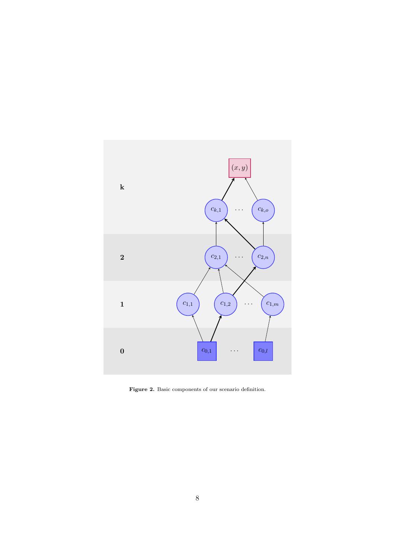

Figure 2. Basic components of our scenario definition.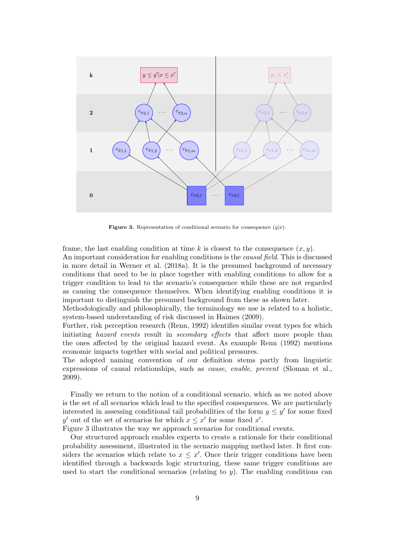

**Figure 3.** Representation of conditional scenario for consequence  $(y|x)$ .

frame, the last enabling condition at time k is closest to the consequence  $(x, y)$ . An important consideration for enabling conditions is the causal field. This is discussed in more detail in Werner et al. (2018a). It is the presumed background of necessary conditions that need to be in place together with enabling conditions to allow for a trigger condition to lead to the scenario's consequence while these are not regarded as causing the consequence themselves. When identifying enabling conditions it is important to distinguish the presumed background from these as shown later.

Methodologically and philosophically, the terminology we use is related to a holistic, system-based understanding of risk discussed in Haimes (2009).

Further, risk perception research (Renn, 1992) identifies similar event types for which initiating *hazard events* result in *secondary effects* that affect more people than the ones affected by the original hazard event. As example Renn (1992) mentions economic impacts together with social and political pressures.

The adopted naming convention of our definition stems partly from linguistic expressions of causal relationships, such as cause, enable, prevent (Sloman et al., 2009).

Finally we return to the notion of a conditional scenario, which as we noted above is the set of all scenarios which lead to the specified consequences. We are particularly interested in assessing conditional tail probabilities of the form  $y \leq y'$  for some fixed y' out of the set of scenarios for which  $x \leq x'$  for some fixed x'.

Figure 3 illustrates the way we approach scenarios for conditional events.

Our structured approach enables experts to create a rationale for their conditional probability assessment, illustrated in the scenario mapping method later. It first considers the scenarios which relate to  $x \leq x'$ . Once their trigger conditions have been identified through a backwards logic structuring, these same trigger conditions are used to start the conditional scenarios (relating to  $y$ ). The enabling conditions can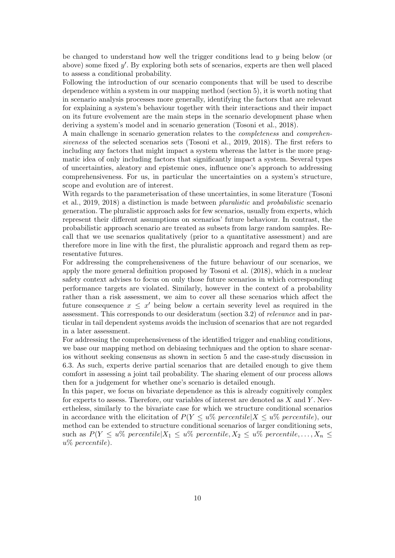be changed to understand how well the trigger conditions lead to  $y$  being below (or above) some fixed  $y'$ . By exploring both sets of scenarios, experts are then well placed to assess a conditional probability.

Following the introduction of our scenario components that will be used to describe dependence within a system in our mapping method (section 5), it is worth noting that in scenario analysis processes more generally, identifying the factors that are relevant for explaining a system's behaviour together with their interactions and their impact on its future evolvement are the main steps in the scenario development phase when deriving a system's model and in scenario generation (Tosoni et al., 2018).

A main challenge in scenario generation relates to the completeness and comprehensiveness of the selected scenarios sets (Tosoni et al., 2019, 2018). The first refers to including any factors that might impact a system whereas the latter is the more pragmatic idea of only including factors that significantly impact a system. Several types of uncertainties, aleatory and epistemic ones, influence one's approach to addressing comprehensiveness. For us, in particular the uncertainties on a system's structure, scope and evolution are of interest.

With regards to the parameterisation of these uncertainties, in some literature (Tosoni et al., 2019, 2018) a distinction is made between pluralistic and probabilistic scenario generation. The pluralistic approach asks for few scenarios, usually from experts, which represent their different assumptions on scenarios' future behaviour. In contrast, the probabilistic approach scenario are treated as subsets from large random samples. Recall that we use scenarios qualitatively (prior to a quantitative assessment) and are therefore more in line with the first, the pluralistic approach and regard them as representative futures.

For addressing the comprehensiveness of the future behaviour of our scenarios, we apply the more general definition proposed by Tosoni et al. (2018), which in a nuclear safety context advises to focus on only those future scenarios in which corresponding performance targets are violated. Similarly, however in the context of a probability rather than a risk assessment, we aim to cover all these scenarios which affect the future consequence  $x \leq x'$  being below a certain severity level as required in the assessment. This corresponds to our desideratum (section 3.2) of relevance and in particular in tail dependent systems avoids the inclusion of scenarios that are not regarded in a later assessment.

For addressing the comprehensiveness of the identified trigger and enabling conditions, we base our mapping method on debiasing techniques and the option to share scenarios without seeking consensus as shown in section 5 and the case-study discussion in 6.3. As such, experts derive partial scenarios that are detailed enough to give them comfort in assessing a joint tail probability. The sharing element of our process allows then for a judgement for whether one's scenario is detailed enough.

In this paper, we focus on bivariate dependence as this is already cognitively complex for experts to assess. Therefore, our variables of interest are denoted as  $X$  and  $Y$ . Nevertheless, similarly to the bivariate case for which we structure conditional scenarios in accordance with the elicitation of  $P(Y \leq u\% \text{ percentile})X \leq u\% \text{ percentile}$ , our method can be extended to structure conditional scenarios of larger conditioning sets, such as  $P(Y \leq u\% \text{ percentile} | X_1 \leq u\% \text{ percentile}, X_2 \leq u\% \text{ percentile}, \ldots, X_n \leq u\% \text{ percentile}$ u% percentile).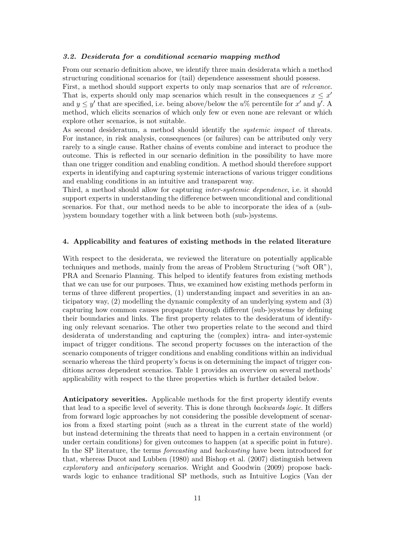### 3.2. Desiderata for a conditional scenario mapping method

From our scenario definition above, we identify three main desiderata which a method structuring conditional scenarios for (tail) dependence assessment should possess.

First, a method should support experts to only map scenarios that are of relevance. That is, experts should only map scenarios which result in the consequences  $x \leq x'$ and  $y \leq y'$  that are specified, i.e. being above/below the  $u\%$  percentile for x' and y'. A method, which elicits scenarios of which only few or even none are relevant or which explore other scenarios, is not suitable.

As second desideratum, a method should identify the systemic impact of threats. For instance, in risk analysis, consequences (or failures) can be attributed only very rarely to a single cause. Rather chains of events combine and interact to produce the outcome. This is reflected in our scenario definition in the possibility to have more than one trigger condition and enabling condition. A method should therefore support experts in identifying and capturing systemic interactions of various trigger conditions and enabling conditions in an intuitive and transparent way.

Third, a method should allow for capturing inter-systemic dependence, i.e. it should support experts in understanding the difference between unconditional and conditional scenarios. For that, our method needs to be able to incorporate the idea of a (sub- )system boundary together with a link between both (sub-)systems.

#### 4. Applicability and features of existing methods in the related literature

With respect to the desiderata, we reviewed the literature on potentially applicable techniques and methods, mainly from the areas of Problem Structuring ("soft OR"), PRA and Scenario Planning. This helped to identify features from existing methods that we can use for our purposes. Thus, we examined how existing methods perform in terms of three different properties, (1) understanding impact and severities in an anticipatory way, (2) modelling the dynamic complexity of an underlying system and (3) capturing how common causes propagate through different (sub-)systems by defining their boundaries and links. The first property relates to the desideratum of identifying only relevant scenarios. The other two properties relate to the second and third desiderata of understanding and capturing the (complex) intra- and inter-systemic impact of trigger conditions. The second property focusses on the interaction of the scenario components of trigger conditions and enabling conditions within an individual scenario whereas the third property's focus is on determining the impact of trigger conditions across dependent scenarios. Table 1 provides an overview on several methods' applicability with respect to the three properties which is further detailed below.

Anticipatory severities. Applicable methods for the first property identify events that lead to a specific level of severity. This is done through backwards logic. It differs from forward logic approaches by not considering the possible development of scenarios from a fixed starting point (such as a threat in the current state of the world) but instead determining the threats that need to happen in a certain environment (or under certain conditions) for given outcomes to happen (at a specific point in future). In the SP literature, the terms forecasting and backcasting have been introduced for that, whereas Ducot and Lubben (1980) and Bishop et al. (2007) distinguish between exploratory and anticipatory scenarios. Wright and Goodwin (2009) propose backwards logic to enhance traditional SP methods, such as Intuitive Logics (Van der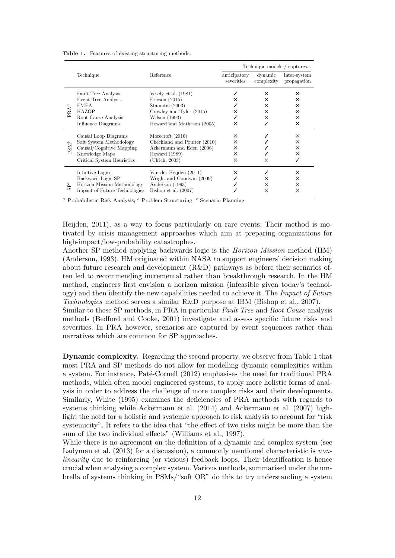| <b>Table 1.</b> Features of existing structuring methods. |
|-----------------------------------------------------------|
|-----------------------------------------------------------|

|                               |                               | Reference                    | Technique models / captures |                       |                             |
|-------------------------------|-------------------------------|------------------------------|-----------------------------|-----------------------|-----------------------------|
|                               | Technique                     |                              | anticipatory<br>severities  | dynamic<br>complexity | inter-system<br>propagation |
| G<br>PRA'                     | <b>Fault Tree Analysis</b>    | Vesely et al. $(1981)$       |                             | x                     | ×                           |
|                               | Event Tree Analysis           | Ericson $(2015)$             | ×                           | ×                     | ×                           |
|                               | <b>FMEA</b>                   | Stamatis $(2003)$            |                             | X                     | ×                           |
|                               | HAZOP                         | Crawley and Tyler (2015)     | ×                           | X                     | ×                           |
|                               | Root Cause Analysis           | Wilson (1993)                |                             | X                     | X                           |
|                               | Influence Diagrams            | Howard and Matheson (2005)   | ×                           |                       | X                           |
| $\ensuremath{\mathrm{PSM}}^b$ | Causal Loop Diagrams          | Morecroft $(2010)$           | X                           |                       | X                           |
|                               | Soft System Methodology       | Checkland and Poulter (2010) | X                           |                       | ×                           |
|                               | Causal/Cognitive Mapping      | Ackermann and Eden (2006)    | X                           |                       | ×                           |
|                               | Knowledge Maps                | Howard $(1989)$              | ×                           |                       | ×                           |
|                               | Critical System Heuristics    | (Ulrich, 2003)               | ×                           | ×                     |                             |
| $S^c$                         | Intuitive Logics              | Van der Heijden (2011)       | ×                           |                       | ×                           |
|                               | Backward-Logic SP             | Wright and Goodwin (2009)    |                             | X                     | X                           |
|                               | Horizon Mission Methodology   | Anderson (1993)              |                             | X                     | ×                           |
|                               | Impact of Future Technologies | Bishop et al. $(2007)$       |                             | ×                     | ×                           |

 $\alpha$  Probabilistic Risk Analysis;  $\delta$  Problem Structuring;  $\epsilon$  Scenario Planning

Heijden, 2011), as a way to focus particularly on rare events. Their method is motivated by crisis management approaches which aim at preparing organizations for high-impact/low-probability catastrophes.

Another SP method applying backwards logic is the Horizon Mission method (HM) (Anderson, 1993). HM originated within NASA to support engineers' decision making about future research and development (R&D) pathways as before their scenarios often led to recommending incremental rather than breakthrough research. In the HM method, engineers first envision a horizon mission (infeasible given today's technology) and then identify the new capabilities needed to achieve it. The Impact of Future Technologies method serves a similar R&D purpose at IBM (Bishop et al., 2007).

Similar to these SP methods, in PRA in particular Fault Tree and Root Cause analysis methods (Bedford and Cooke, 2001) investigate and assess specific future risks and severities. In PRA however, scenarios are captured by event sequences rather than narratives which are common for SP approaches.

Dynamic complexity. Regarding the second property, we observe from Table 1 that most PRA and SP methods do not allow for modelling dynamic complexities within a system. For instance, Paté-Cornell (2012) emphasises the need for traditional PRA methods, which often model engineered systems, to apply more holistic forms of analysis in order to address the challenge of more complex risks and their developments. Similarly, White (1995) examines the deficiencies of PRA methods with regards to systems thinking while Ackermann et al. (2014) and Ackermann et al. (2007) highlight the need for a holistic and systemic approach to risk analysis to account for "risk systemicity". It refers to the idea that "the effect of two risks might be more than the sum of the two individual effects" (Williams et al., 1997).

While there is no agreement on the definition of a dynamic and complex system (see Ladyman et al. (2013) for a discussion), a commonly mentioned characteristic is *non*linearity due to reinforcing (or vicious) feedback loops. Their identification is hence crucial when analysing a complex system. Various methods, summarised under the umbrella of systems thinking in PSMs/"soft OR" do this to try understanding a system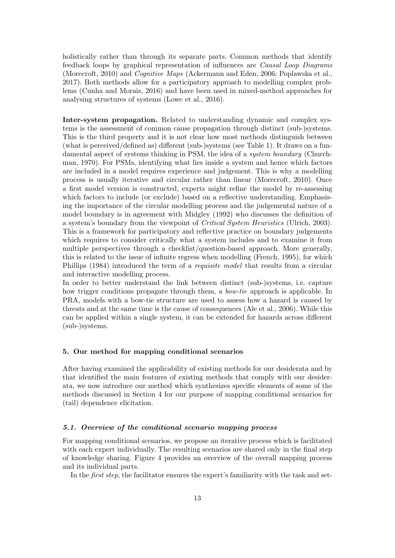holistically rather than through its separate parts. Common methods that identify feedback loops by graphical representation of influences are Causal Loop Diagrams (Morecroft, 2010) and Cognitive Maps (Ackermann and Eden, 2006; Poplawska et al., 2017). Both methods allow for a participatory approach to modelling complex problems (Cunha and Morais, 2016) and have been used in mixed-method approaches for analysing structures of systems (Lowe et al., 2016).

Inter-system propagation. Related to understanding dynamic and complex systems is the assessment of common cause propagation through distinct (sub-)systems. This is the third property and it is not clear how most methods distinguish between (what is perceived/defined as) different (sub-)systems (see Table 1). It draws on a fundamental aspect of systems thinking in PSM, the idea of a system boundary (Churchman, 1970). For PSMs, identifying what lies inside a system and hence which factors are included in a model requires experience and judgement. This is why a modelling process is usually iterative and circular rather than linear (Morecroft, 2010). Once a first model version is constructed, experts might refine the model by re-assessing which factors to include (or exclude) based on a reflective understanding. Emphasising the importance of the circular modelling process and the judgemental nature of a model boundary is in agreement with Midgley (1992) who discusses the definition of a system's boundary from the viewpoint of Critical System Heuristics (Ulrich, 2003). This is a framework for participatory and reflective practice on boundary judgements which requires to consider critically what a system includes and to examine it from multiple perspectives through a checklist/question-based approach. More generally, this is related to the issue of infinite regress when modelling (French, 1995), for which Phillips (1984) introduced the term of a requisite model that results from a circular and interactive modelling process.

In order to better understand the link between distinct (sub-)systems, i.e. capture how trigger conditions propagate through them, a bow-tie approach is applicable. In PRA, models with a bow-tie structure are used to assess how a hazard is caused by threats and at the same time is the cause of consequences (Ale et al., 2006). While this can be applied within a single system, it can be extended for hazards across different (sub-)systems.

### 5. Our method for mapping conditional scenarios

After having examined the applicability of existing methods for our desiderata and by that identified the main features of existing methods that comply with our desiderata, we now introduce our method which synthesizes specific elements of some of the methods discussed in Section 4 for our purpose of mapping conditional scenarios for (tail) dependence elicitation.

#### 5.1. Overview of the conditional scenario mapping process

For mapping conditional scenarios, we propose an iterative process which is facilitated with each expert individually. The resulting scenarios are shared only in the final step of knowledge sharing. Figure 4 provides an overview of the overall mapping process and its individual parts.

In the *first step*, the facilitator ensures the expert's familiarity with the task and set-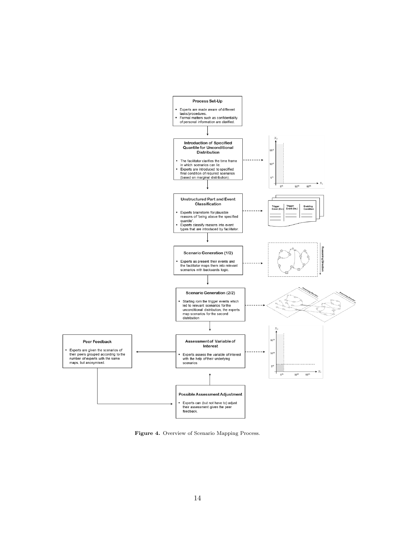

Figure 4. Overview of Scenario Mapping Process.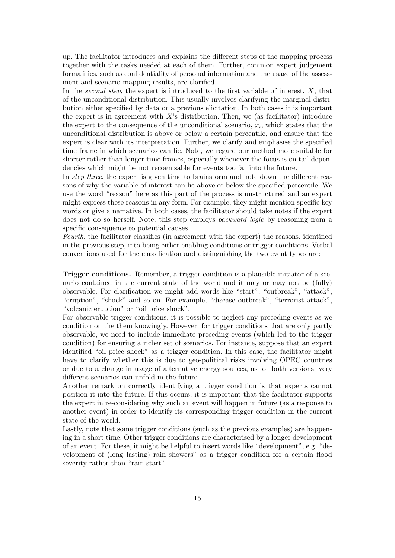up. The facilitator introduces and explains the different steps of the mapping process together with the tasks needed at each of them. Further, common expert judgement formalities, such as confidentiality of personal information and the usage of the assessment and scenario mapping results, are clarified.

In the second step, the expert is introduced to the first variable of interest,  $X$ , that of the unconditional distribution. This usually involves clarifying the marginal distribution either specified by data or a previous elicitation. In both cases it is important the expert is in agreement with  $X$ 's distribution. Then, we (as facilitator) introduce the expert to the consequence of the unconditional scenario,  $x_i$ , which states that the unconditional distribution is above or below a certain percentile, and ensure that the expert is clear with its interpretation. Further, we clarify and emphasise the specified time frame in which scenarios can lie. Note, we regard our method more suitable for shorter rather than longer time frames, especially whenever the focus is on tail dependencies which might be not recognisable for events too far into the future.

In *step three*, the expert is given time to brainstorm and note down the different reasons of why the variable of interest can lie above or below the specified percentile. We use the word "reason" here as this part of the process is unstructured and an expert might express these reasons in any form. For example, they might mention specific key words or give a narrative. In both cases, the facilitator should take notes if the expert does not do so herself. Note, this step employs backward logic by reasoning from a specific consequence to potential causes.

Fourth, the facilitator classifies (in agreement with the expert) the reasons, identified in the previous step, into being either enabling conditions or trigger conditions. Verbal conventions used for the classification and distinguishing the two event types are:

Trigger conditions. Remember, a trigger condition is a plausible initiator of a scenario contained in the current state of the world and it may or may not be (fully) observable. For clarification we might add words like "start", "outbreak", "attack", "eruption", "shock" and so on. For example, "disease outbreak", "terrorist attack", "volcanic eruption" or "oil price shock".

For observable trigger conditions, it is possible to neglect any preceding events as we condition on the them knowingly. However, for trigger conditions that are only partly observable, we need to include immediate preceding events (which led to the trigger condition) for ensuring a richer set of scenarios. For instance, suppose that an expert identified "oil price shock" as a trigger condition. In this case, the facilitator might have to clarify whether this is due to geo-political risks involving OPEC countries or due to a change in usage of alternative energy sources, as for both versions, very different scenarios can unfold in the future.

Another remark on correctly identifying a trigger condition is that experts cannot position it into the future. If this occurs, it is important that the facilitator supports the expert in re-considering why such an event will happen in future (as a response to another event) in order to identify its corresponding trigger condition in the current state of the world.

Lastly, note that some trigger conditions (such as the previous examples) are happening in a short time. Other trigger conditions are characterised by a longer development of an event. For these, it might be helpful to insert words like "development", e.g. "development of (long lasting) rain showers" as a trigger condition for a certain flood severity rather than "rain start".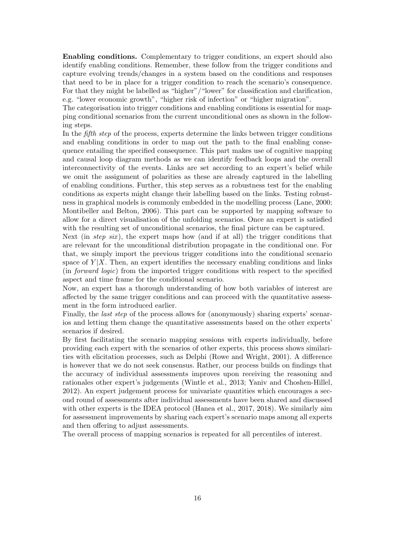Enabling conditions. Complementary to trigger conditions, an expert should also identify enabling conditions. Remember, these follow from the trigger conditions and capture evolving trends/changes in a system based on the conditions and responses that need to be in place for a trigger condition to reach the scenario's consequence. For that they might be labelled as "higher"/"lower" for classification and clarification, e.g. "lower economic growth", "higher risk of infection" or "higher migration".

The categorisation into trigger conditions and enabling conditions is essential for mapping conditional scenarios from the current unconditional ones as shown in the following steps.

In the *fifth step* of the process, experts determine the links between trigger conditions and enabling conditions in order to map out the path to the final enabling consequence entailing the specified consequence. This part makes use of cognitive mapping and causal loop diagram methods as we can identify feedback loops and the overall interconnectivity of the events. Links are set according to an expert's belief while we omit the assignment of polarities as these are already captured in the labelling of enabling conditions. Further, this step serves as a robustness test for the enabling conditions as experts might change their labelling based on the links. Testing robustness in graphical models is commonly embedded in the modelling process (Lane, 2000; Montibeller and Belton, 2006). This part can be supported by mapping software to allow for a direct visualisation of the unfolding scenarios. Once an expert is satisfied with the resulting set of unconditional scenarios, the final picture can be captured.

Next (in step six), the expert maps how (and if at all) the trigger conditions that are relevant for the unconditional distribution propagate in the conditional one. For that, we simply import the previous trigger conditions into the conditional scenario space of  $Y|X$ . Then, an expert identifies the necessary enabling conditions and links (in forward logic) from the imported trigger conditions with respect to the specified aspect and time frame for the conditional scenario.

Now, an expert has a thorough understanding of how both variables of interest are affected by the same trigger conditions and can proceed with the quantitative assessment in the form introduced earlier.

Finally, the *last step* of the process allows for (anonymously) sharing experts' scenarios and letting them change the quantitative assessments based on the other experts' scenarios if desired.

By first facilitating the scenario mapping sessions with experts individually, before providing each expert with the scenarios of other experts, this process shows similarities with elicitation processes, such as Delphi (Rowe and Wright, 2001). A difference is however that we do not seek consensus. Rather, our process builds on findings that the accuracy of individual assessments improves upon receiving the reasoning and rationales other expert's judgements (Wintle et al., 2013; Yaniv and Choshen-Hillel, 2012). An expert judgement process for univariate quantities which encourages a second round of assessments after individual assessments have been shared and discussed with other experts is the IDEA protocol (Hanea et al., 2017, 2018). We similarly aim for assessment improvements by sharing each expert's scenario maps among all experts and then offering to adjust assessments.

The overall process of mapping scenarios is repeated for all percentiles of interest.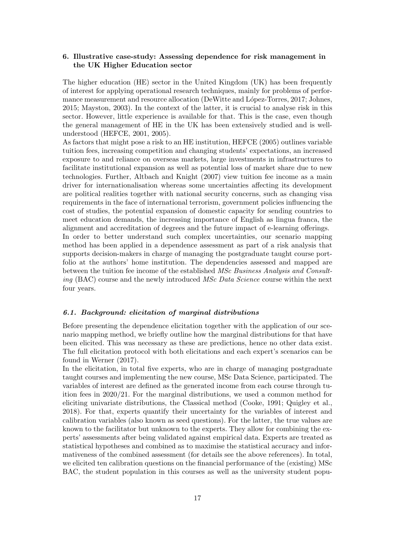## 6. Illustrative case-study: Assessing dependence for risk management in the UK Higher Education sector

The higher education (HE) sector in the United Kingdom (UK) has been frequently of interest for applying operational research techniques, mainly for problems of performance measurement and resource allocation (DeWitte and López-Torres, 2017; Johnes, 2015; Mayston, 2003). In the context of the latter, it is crucial to analyse risk in this sector. However, little experience is available for that. This is the case, even though the general management of HE in the UK has been extensively studied and is wellunderstood (HEFCE, 2001, 2005).

As factors that might pose a risk to an HE institution, HEFCE (2005) outlines variable tuition fees, increasing competition and changing students' expectations, an increased exposure to and reliance on overseas markets, large investments in infrastructures to facilitate institutional expansion as well as potential loss of market share due to new technologies. Further, Altbach and Knight (2007) view tuition fee income as a main driver for internationalisation whereas some uncertainties affecting its development are political realities together with national security concerns, such as changing visa requirements in the face of international terrorism, government policies influencing the cost of studies, the potential expansion of domestic capacity for sending countries to meet education demands, the increasing importance of English as lingua franca, the alignment and accreditation of degrees and the future impact of e-learning offerings. In order to better understand such complex uncertainties, our scenario mapping method has been applied in a dependence assessment as part of a risk analysis that supports decision-makers in charge of managing the postgraduate taught course portfolio at the authors' home institution. The dependencies assessed and mapped are between the tuition fee income of the established MSc Business Analysis and Consult-

ing (BAC) course and the newly introduced MSc Data Science course within the next four years.

### 6.1. Background: elicitation of marginal distributions

Before presenting the dependence elicitation together with the application of our scenario mapping method, we briefly outline how the marginal distributions for that have been elicited. This was necessary as these are predictions, hence no other data exist. The full elicitation protocol with both elicitations and each expert's scenarios can be found in Werner (2017).

In the elicitation, in total five experts, who are in charge of managing postgraduate taught courses and implementing the new course, MSc Data Science, participated. The variables of interest are defined as the generated income from each course through tuition fees in 2020/21. For the marginal distributions, we used a common method for eliciting univariate distributions, the Classical method (Cooke, 1991; Quigley et al., 2018). For that, experts quantify their uncertainty for the variables of interest and calibration variables (also known as seed questions). For the latter, the true values are known to the facilitator but unknown to the experts. They allow for combining the experts' assessments after being validated against empirical data. Experts are treated as statistical hypotheses and combined as to maximise the statistical accuracy and informativeness of the combined assessment (for details see the above references). In total, we elicited ten calibration questions on the financial performance of the (existing) MSc BAC, the student population in this courses as well as the university student popu-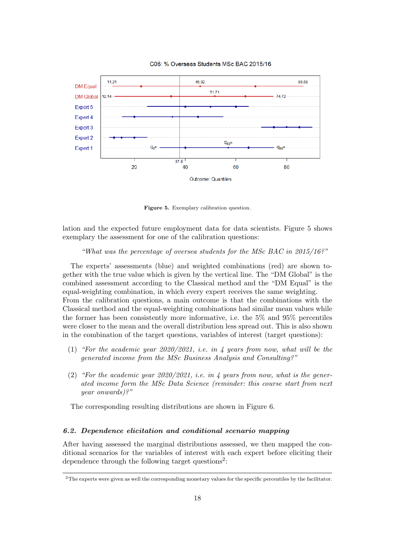

C06: % Overseas Students MSc BAC 2015/16

Figure 5. Exemplary calibration question.

lation and the expected future employment data for data scientists. Figure 5 shows exemplary the assessment for one of the calibration questions:

### "What was the percentage of oversea students for the MSc BAC in  $2015/16$ ?"

The experts' assessments (blue) and weighted combinations (red) are shown together with the true value which is given by the vertical line. The "DM Global" is the combined assessment according to the Classical method and the "DM Equal" is the equal-weighting combination, in which every expert receives the same weighting. From the calibration questions, a main outcome is that the combinations with the Classical method and the equal-weighting combinations had similar mean values while the former has been consistently more informative, i.e. the 5% and 95% percentiles were closer to the mean and the overall distribution less spread out. This is also shown in the combination of the target questions, variables of interest (target questions):

- (1) "For the academic year 2020/2021, i.e. in 4 years from now, what will be the generated income from the MSc Business Analysis and Consulting?"
- (2) "For the academic year  $2020/2021$ , i.e. in 4 years from now, what is the generated income form the MSc Data Science (reminder: this course start from next year onwards)?"

The corresponding resulting distributions are shown in Figure 6.

### 6.2. Dependence elicitation and conditional scenario mapping

After having assessed the marginal distributions assessed, we then mapped the conditional scenarios for the variables of interest with each expert before eliciting their dependence through the following target questions<sup>2</sup>:

<sup>&</sup>lt;sup>2</sup>The experts were given as well the corresponding monetary values for the specific percentiles by the facilitator.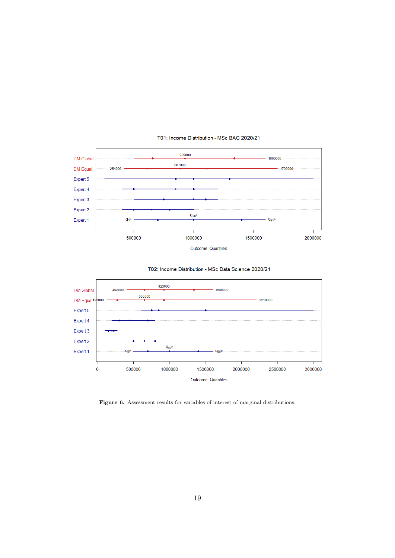

### T01: Income Distribution - MSc BAC 2020/21





Figure 6. Assessment results for variables of interest of marginal distributions.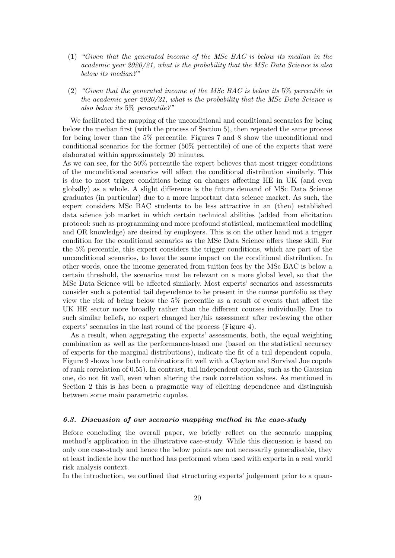- (1) "Given that the generated income of the MSc BAC is below its median in the academic year 2020/21, what is the probability that the MSc Data Science is also below its median?"
- (2) "Given that the generated income of the MSc BAC is below its 5% percentile in the academic year  $2020/21$ , what is the probability that the MSc Data Science is also below its 5% percentile?"

We facilitated the mapping of the unconditional and conditional scenarios for being below the median first (with the process of Section 5), then repeated the same process for being lower than the 5% percentile. Figures 7 and 8 show the unconditional and conditional scenarios for the former (50% percentile) of one of the experts that were elaborated within approximately 20 minutes.

As we can see, for the 50% percentile the expert believes that most trigger conditions of the unconditional scenarios will affect the conditional distribution similarly. This is due to most trigger conditions being on changes affecting HE in UK (and even globally) as a whole. A slight difference is the future demand of MSc Data Science graduates (in particular) due to a more important data science market. As such, the expert considers MSc BAC students to be less attractive in an (then) established data science job market in which certain technical abilities (added from elicitation protocol: such as programming and more profound statistical, mathematical modelling and OR knowledge) are desired by employers. This is on the other hand not a trigger condition for the conditional scenarios as the MSc Data Science offers these skill. For the 5% percentile, this expert considers the trigger conditions, which are part of the unconditional scenarios, to have the same impact on the conditional distribution. In other words, once the income generated from tuition fees by the MSc BAC is below a certain threshold, the scenarios must be relevant on a more global level, so that the MSc Data Science will be affected similarly. Most experts' scenarios and assessments consider such a potential tail dependence to be present in the course portfolio as they view the risk of being below the 5% percentile as a result of events that affect the UK HE sector more broadly rather than the different courses individually. Due to such similar beliefs, no expert changed her/his assessment after reviewing the other experts' scenarios in the last round of the process (Figure 4).

As a result, when aggregating the experts' assessments, both, the equal weighting combination as well as the performance-based one (based on the statistical accuracy of experts for the marginal distributions), indicate the fit of a tail dependent copula. Figure 9 shows how both combinations fit well with a Clayton and Survival Joe copula of rank correlation of 0.55). In contrast, tail independent copulas, such as the Gaussian one, do not fit well, even when altering the rank correlation values. As mentioned in Section 2 this is has been a pragmatic way of eliciting dependence and distinguish between some main parametric copulas.

### 6.3. Discussion of our scenario mapping method in the case-study

Before concluding the overall paper, we briefly reflect on the scenario mapping method's application in the illustrative case-study. While this discussion is based on only one case-study and hence the below points are not necessarily generalisable, they at least indicate how the method has performed when used with experts in a real world risk analysis context.

In the introduction, we outlined that structuring experts' judgement prior to a quan-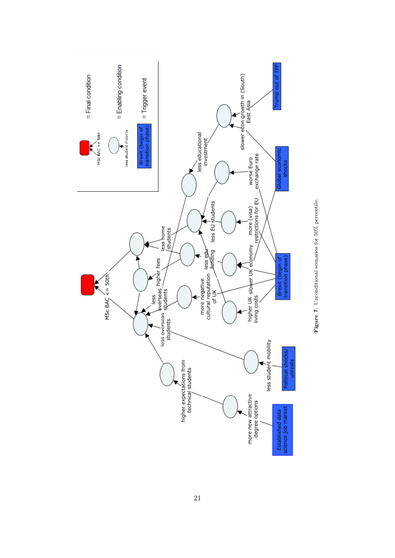

Figure 7. Unconditional scenarios for 50% percentile. Figure 7. Unconditional scenarios for 50% percentile.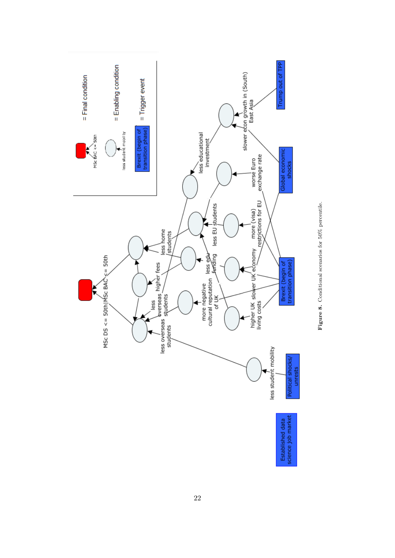

Figure 8. Conditional scenarios for 50% percentile. Figure 8. Conditional scenarios for 50% percentile.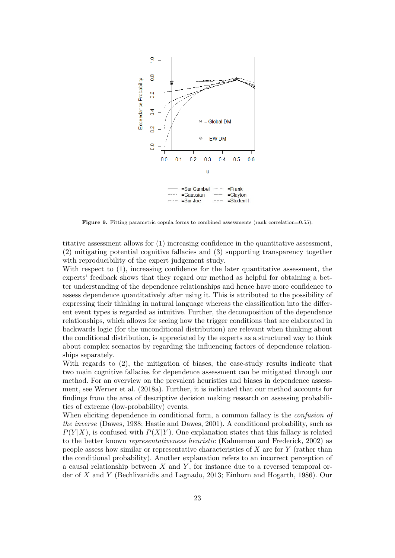

Figure 9. Fitting parametric copula forms to combined assessments (rank correlation=0.55).

titative assessment allows for (1) increasing confidence in the quantitative assessment, (2) mitigating potential cognitive fallacies and (3) supporting transparency together with reproducibility of the expert judgement study.

With respect to (1), increasing confidence for the later quantitative assessment, the experts' feedback shows that they regard our method as helpful for obtaining a better understanding of the dependence relationships and hence have more confidence to assess dependence quantitatively after using it. This is attributed to the possibility of expressing their thinking in natural language whereas the classification into the different event types is regarded as intuitive. Further, the decomposition of the dependence relationships, which allows for seeing how the trigger conditions that are elaborated in backwards logic (for the unconditional distribution) are relevant when thinking about the conditional distribution, is appreciated by the experts as a structured way to think about complex scenarios by regarding the influencing factors of dependence relationships separately.

With regards to (2), the mitigation of biases, the case-study results indicate that two main cognitive fallacies for dependence assessment can be mitigated through our method. For an overview on the prevalent heuristics and biases in dependence assessment, see Werner et al. (2018a). Further, it is indicated that our method accounts for findings from the area of descriptive decision making research on assessing probabilities of extreme (low-probability) events.

When eliciting dependence in conditional form, a common fallacy is the *confusion of* the inverse (Dawes, 1988; Hastie and Dawes, 2001). A conditional probability, such as  $P(Y|X)$ , is confused with  $P(X|Y)$ . One explanation states that this fallacy is related to the better known representativeness heuristic (Kahneman and Frederick, 2002) as people assess how similar or representative characteristics of  $X$  are for  $Y$  (rather than the conditional probability). Another explanation refers to an incorrect perception of a causal relationship between  $X$  and  $Y$ , for instance due to a reversed temporal order of X and Y (Bechlivanidis and Lagnado, 2013; Einhorn and Hogarth, 1986). Our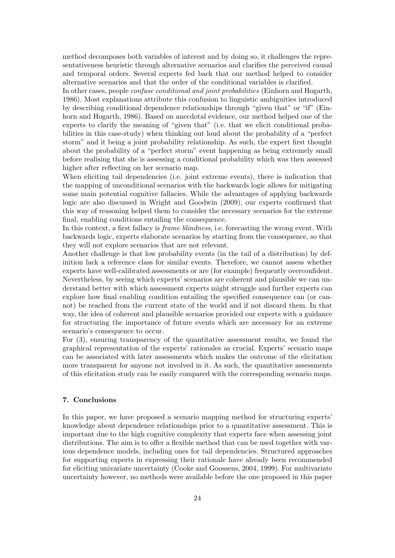method decomposes both variables of interest and by doing so, it challenges the representativeness heuristic through alternative scenarios and clarifies the perceived causal and temporal orders. Several experts fed back that our method helped to consider alternative scenarios and that the order of the conditional variables is clarified.

In other cases, people *confuse conditional and joint probabilities* (Einhorn and Hogarth, 1986). Most explanations attribute this confusion to linguistic ambiguities introduced by describing conditional dependence relationships through "given that" or "if" (Einhorn and Hogarth, 1986). Based on anecdotal evidence, our method helped one of the experts to clarify the meaning of "given that" (i.e. that we elicit conditional probabilities in this case-study) when thinking out loud about the probability of a "perfect storm" and it being a joint probability relationship. As such, the expert first thought about the probability of a "perfect storm" event happening as being extremely small before realising that she is assessing a conditional probability which was then assessed higher after reflecting on her scenario map.

When eliciting tail dependencies (i.e. joint extreme events), there is indication that the mapping of unconditional scenarios with the backwards logic allows for mitigating some main potential cognitive fallacies. While the advantages of applying backwards logic are also discussed in Wright and Goodwin (2009), our experts confirmed that this way of reasoning helped them to consider the necessary scenarios for the extreme final, enabling conditions entailing the consequence.

In this context, a first fallacy is frame blindness, i.e. forecasting the wrong event. With backwards logic, experts elaborate scenarios by starting from the consequence, so that they will not explore scenarios that are not relevant.

Another challenge is that low probability events (in the tail of a distribution) by definition lack a reference class for similar events. Therefore, we cannot assess whether experts have well-calibrated assessments or are (for example) frequently overconfident. Nevertheless, by seeing which experts' scenarios are coherent and plausible we can understand better with which assessment experts might struggle and further experts can explore how final enabling condition entailing the specified consequence can (or cannot) be reached from the current state of the world and if not discard them. In that way, the idea of coherent and plausible scenarios provided our experts with a guidance for structuring the importance of future events which are necessary for an extreme scenario's consequence to occur.

For (3), ensuring transparency of the quantitative assessment results, we found the graphical representation of the experts' rationales as crucial. Experts' scenario maps can be associated with later assessments which makes the outcome of the elicitation more transparent for anyone not involved in it. As such, the quantitative assessments of this elicitation study can be easily compared with the corresponding scenario maps.

### 7. Conclusions

In this paper, we have proposed a scenario mapping method for structuring experts' knowledge about dependence relationships prior to a quantitative assessment. This is important due to the high cognitive complexity that experts face when assessing joint distributions. The aim is to offer a flexible method that can be used together with various dependence models, including ones for tail dependencies. Structured approaches for supporting experts in expressing their rationale have already been recommended for eliciting univariate uncertainty (Cooke and Goossens, 2004, 1999). For multivariate uncertainty however, no methods were available before the one proposed in this paper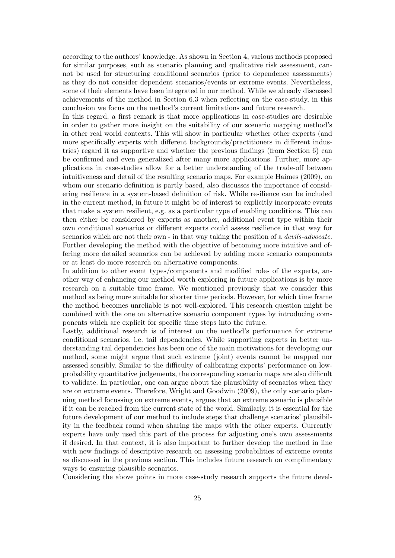according to the authors' knowledge. As shown in Section 4, various methods proposed for similar purposes, such as scenario planning and qualitative risk assessment, cannot be used for structuring conditional scenarios (prior to dependence assessments) as they do not consider dependent scenarios/events or extreme events. Nevertheless, some of their elements have been integrated in our method. While we already discussed achievements of the method in Section 6.3 when reflecting on the case-study, in this conclusion we focus on the method's current limitations and future research.

In this regard, a first remark is that more applications in case-studies are desirable in order to gather more insight on the suitability of our scenario mapping method's in other real world contexts. This will show in particular whether other experts (and more specifically experts with different backgrounds/practitioners in different industries) regard it as supportive and whether the previous findings (from Section 6) can be confirmed and even generalized after many more applications. Further, more applications in case-studies allow for a better understanding of the trade-off between intuitiveness and detail of the resulting scenario maps. For example Haimes (2009), on whom our scenario definition is partly based, also discusses the importance of considering resilience in a system-based definition of risk. While resilience can be included in the current method, in future it might be of interest to explicitly incorporate events that make a system resilient, e.g. as a particular type of enabling conditions. This can then either be considered by experts as another, additional event type within their own conditional scenarios or different experts could assess resilience in that way for scenarios which are not their own - in that way taking the position of a devils-advocate. Further developing the method with the objective of becoming more intuitive and offering more detailed scenarios can be achieved by adding more scenario components or at least do more research on alternative components.

In addition to other event types/components and modified roles of the experts, another way of enhancing our method worth exploring in future applications is by more research on a suitable time frame. We mentioned previously that we consider this method as being more suitable for shorter time periods. However, for which time frame the method becomes unreliable is not well-explored. This research question might be combined with the one on alternative scenario component types by introducing components which are explicit for specific time steps into the future.

Lastly, additional research is of interest on the method's performance for extreme conditional scenarios, i.e. tail dependencies. While supporting experts in better understanding tail dependencies has been one of the main motivations for developing our method, some might argue that such extreme (joint) events cannot be mapped nor assessed sensibly. Similar to the difficulty of calibrating experts' performance on lowprobability quantitative judgements, the corresponding scenario maps are also difficult to validate. In particular, one can argue about the plausibility of scenarios when they are on extreme events. Therefore, Wright and Goodwin (2009), the only scenario planning method focussing on extreme events, argues that an extreme scenario is plausible if it can be reached from the current state of the world. Similarly, it is essential for the future development of our method to include steps that challenge scenarios' plausibility in the feedback round when sharing the maps with the other experts. Currently experts have only used this part of the process for adjusting one's own assessments if desired. In that context, it is also important to further develop the method in line with new findings of descriptive research on assessing probabilities of extreme events as discussed in the previous section. This includes future research on complimentary ways to ensuring plausible scenarios.

Considering the above points in more case-study research supports the future devel-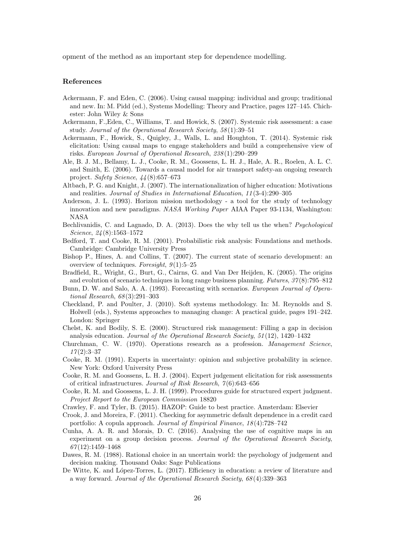opment of the method as an important step for dependence modelling.

#### References

- Ackermann, F. and Eden, C. (2006). Using causal mapping: individual and group; traditional and new. In: M. Pidd (ed.), Systems Modelling: Theory and Practice, pages 127–145. Chichester: John Wiley & Sons
- Ackermann, F.,Eden, C., Williams, T. and Howick, S. (2007). Systemic risk assessment: a case study. Journal of the Operational Research Society, 58 (1):39–51
- Ackermann, F., Howick, S., Quigley, J., Walls, L. and Houghton, T. (2014). Systemic risk elicitation: Using causal maps to engage stakeholders and build a comprehensive view of risks. European Journal of Operational Research, 238 (1):290–299
- Ale, B. J. M., Bellamy, L. J., Cooke, R. M., Goossens, L. H. J., Hale, A. R., Roelen, A. L. C. and Smith, E. (2006). Towards a causal model for air transport safety-an ongoing research project. Safety Science, 44 (8):657–673
- Altbach, P. G. and Knight, J. (2007). The internationalization of higher education: Motivations and realities. Journal of Studies in International Education, 11 (3-4):290–305
- Anderson, J. L. (1993). Horizon mission methodology a tool for the study of technology innovation and new paradigms. NASA Working Paper AIAA Paper 93-1134, Washington: NASA
- Bechlivanidis, C. and Lagnado, D. A. (2013). Does the why tell us the when? Psychological Science, 24 (8):1563–1572
- Bedford, T. and Cooke, R. M. (2001). Probabilistic risk analysis: Foundations and methods. Cambridge: Cambridge University Press
- Bishop P., Hines, A. and Collins, T. (2007). The current state of scenario development: an overview of techniques. Foresight,  $9(1):5-25$
- Bradfield, R., Wright, G., Burt, G., Cairns, G. and Van Der Heijden, K. (2005). The origins and evolution of scenario techniques in long range business planning. Futures, 37 (8):795–812
- Bunn, D. W. and Salo, A. A. (1993). Forecasting with scenarios. European Journal of Operational Research, 68 (3):291–303
- Checkland, P. and Poulter, J. (2010). Soft systems methodology. In: M. Reynolds and S. Holwell (eds.), Systems approaches to managing change: A practical guide, pages 191–242. London: Springer
- Chelst, K. and Bodily, S. E. (2000). Structured risk management: Filling a gap in decision analysis education. Journal of the Operational Research Society, 51 (12), 1420–1432
- Churchman, C. W. (1970). Operations research as a profession. Management Science,  $17(2):3-37$
- Cooke, R. M. (1991). Experts in uncertainty: opinion and subjective probability in science. New York: Oxford University Press
- Cooke, R. M. and Goossens, L. H. J. (2004). Expert judgement elicitation for risk assessments of critical infrastructures. Journal of Risk Research, 7 (6):643–656
- Cooke, R. M. and Goossens, L. J. H. (1999). Procedures guide for structured expert judgment. Project Report to the European Commission 18820
- Crawley, F. and Tyler, B. (2015). HAZOP: Guide to best practice. Amsterdam: Elsevier
- Crook, J. and Moreira, F. (2011). Checking for asymmetric default dependence in a credit card portfolio: A copula approach. Journal of Empirical Finance, 18 (4):728–742
- Cunha, A. A. R. and Morais, D. C. (2016). Analysing the use of cognitive maps in an experiment on a group decision process. Journal of the Operational Research Society, 67 (12):1459–1468
- Dawes, R. M. (1988). Rational choice in an uncertain world: the psychology of judgement and decision making. Thousand Oaks: Sage Publications
- De Witte, K. and López-Torres, L. (2017). Efficiency in education: a review of literature and a way forward. Journal of the Operational Research Society, 68 (4):339–363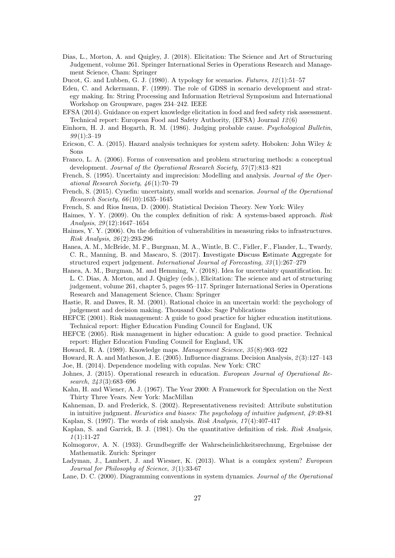- Dias, L., Morton, A. and Quigley, J. (2018). Elicitation: The Science and Art of Structuring Judgement, volume 261. Springer International Series in Operations Research and Management Science, Cham: Springer
- Ducot, G. and Lubben, G. J. (1980). A typology for scenarios. Futures, 12 (1):51–57
- Eden, C. and Ackermann, F. (1999). The role of GDSS in scenario development and strategy making. In: String Processing and Information Retrieval Symposium and International Workshop on Groupware, pages 234–242. IEEE
- EFSA (2014). Guidance on expert knowledge elicitation in food and feed safety risk assessment. Technical report: European Food and Safety Authority, (EFSA) Journal 12 (6)
- Einhorn, H. J. and Hogarth, R. M. (1986). Judging probable cause. Psychological Bulletin,  $99(1):3-19$
- Ericson, C. A. (2015). Hazard analysis techniques for system safety. Hoboken: John Wiley & Sons
- Franco, L. A. (2006). Forms of conversation and problem structuring methods: a conceptual development. Journal of the Operational Research Society, 57(7):813-821
- French, S. (1995). Uncertainty and imprecision: Modelling and analysis. Journal of the Operational Research Society, 46 (1):70–79
- French, S. (2015). Cynefin: uncertainty, small worlds and scenarios. Journal of the Operational Research Society, 66 (10):1635–1645
- French, S. and Rios Insua, D. (2000). Statistical Decision Theory. New York: Wiley
- Haimes, Y. Y. (2009). On the complex definition of risk: A systems-based approach. Risk Analysis, 29 (12):1647–1654
- Haimes, Y. Y. (2006). On the definition of vulnerabilities in measuring risks to infrastructures. Risk Analysis, 26 (2):293-296
- Hanea, A. M., McBride, M. F., Burgman, M. A., Wintle, B. C., Fidler, F., Flander, L., Twardy, C. R., Manning, B. and Mascaro, S. (2017). Investigate Discuss Estimate Aggregate for structured expert judgement. International Journal of Forecasting, 33 (1):267–279
- Hanea, A. M., Burgman, M. and Hemming, V. (2018). Idea for uncertainty quantification. In: L. C. Dias, A. Morton, and J. Quigley (eds.), Elicitation: The science and art of structuring judgement, volume 261, chapter 5, pages 95–117. Springer International Series in Operations Research and Management Science, Cham: Springer
- Hastie, R. and Dawes, R. M. (2001). Rational choice in an uncertain world: the psychology of judgement and decision making. Thousand Oaks: Sage Publications
- HEFCE (2001). Risk management: A guide to good practice for higher education institutions. Technical report: Higher Education Funding Council for England, UK
- HEFCE (2005). Risk management in higher education: A guide to good practice. Technical report: Higher Education Funding Council for England, UK
- Howard, R. A. (1989). Knowledge maps. Management Science, 35 (8):903–922
- Howard, R. A. and Matheson, J. E. (2005). Influence diagrams. Decision Analysis, 2 (3):127–143 Joe, H. (2014). Dependence modeling with copulas. New York: CRC
- Johnes, J. (2015). Operational research in education. European Journal of Operational Research, 243 (3):683–696
- Kahn, H. and Wiener, A. J. (1967). The Year 2000: A Framework for Speculation on the Next Thirty Three Years. New York: MacMillan
- Kahneman, D. and Frederick, S. (2002). Representativeness revisited: Attribute substitution in intuitive judgment. Heuristics and biases: The psychology of intuitive judgment, 49:49-81 Kaplan, S. (1997). The words of risk analysis. Risk Analysis,  $17(4):407-417$
- Kaplan, S. and Garrick, B. J. (1981). On the quantitative definition of risk. Risk Analysis,  $1(1):11-27$
- Kolmogorov, A. N. (1933). Grundbegriffe der Wahrscheinlichkeitsrechnung, Ergebnisse der Mathematik. Zurich: Springer
- Ladyman, J., Lambert, J. and Wiesner, K. (2013). What is a complex system? European Journal for Philosophy of Science, 3(1):33-67
- Lane, D. C. (2000). Diagramming conventions in system dynamics. Journal of the Operational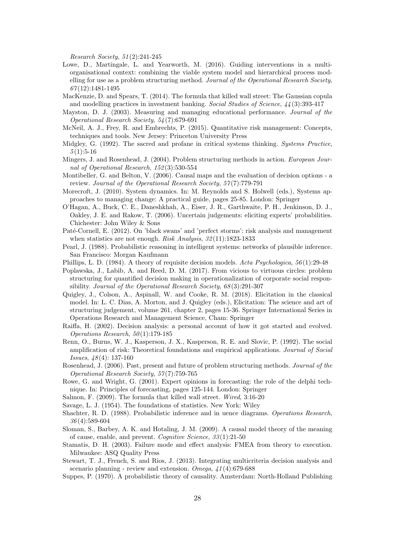Research Society, 51 (2):241-245

- Lowe, D., Martingale, L. and Yearworth, M. (2016). Guiding interventions in a multiorganisational context: combining the viable system model and hierarchical process modelling for use as a problem structuring method. Journal of the Operational Research Society,  $67(12):1481-1495$
- MacKenzie, D. and Spears, T. (2014). The formula that killed wall street: The Gaussian copula and modelling practices in investment banking. Social Studies of Science, 44 (3):393-417
- Mayston, D. J. (2003). Measuring and managing educational performance. Journal of the Operational Research Society, 54 (7):679-691
- McNeil, A. J., Frey, R. and Embrechts, P. (2015). Quantitative risk management: Concepts, techniques and tools. New Jersey: Princeton University Press
- Midgley, G. (1992). The sacred and profane in critical systems thinking. Systems Practice,  $5(1):5-16$
- Mingers, J. and Rosenhead, J. (2004). Problem structuring methods in action. European Journal of Operational Research, 152 (3):530-554
- Montibeller, G. and Belton, V. (2006). Causal maps and the evaluation of decision options a review. Journal of the Operational Research Society, 57(7):779-791
- Morecroft, J. (2010). System dynamics. In: M. Reynolds and S. Holwell (eds.), Systems approaches to managing change: A practical guide, pages 25-85. London: Springer
- O'Hagan, A., Buck, C. E., Daneshkhah, A., Eiser, J. R., Garthwaite, P. H., Jenkinson, D. J., Oakley, J. E. and Rakow, T. (2006). Uncertain judgements: eliciting experts' probabilities. Chichester: John Wiley & Sons
- Paté-Cornell, E. (2012). On 'black swans' and 'perfect storms': risk analysis and management when statistics are not enough. Risk Analysis, 32(11):1823-1833
- Pearl, J. (1988). Probabilistic reasoning in intelligent systems: networks of plausible inference. San Francisco: Morgan Kaufmann
- Phillips, L. D. (1984). A theory of requisite decision models. Acta Psychologica, 56(1):29-48
- Poplawska, J., Labib, A. and Reed, D. M. (2017). From vicious to virtuous circles: problem structuring for quantified decision making in operationalization of corporate social responsibility. Journal of the Operational Research Society, 68 (3):291-307
- Quigley, J., Colson, A., Aspinall, W. and Cooke, R. M. (2018). Elicitation in the classical model. In: L. C. Dias, A. Morton, and J. Quigley (eds.), Elicitation: The science and art of structuring judgement, volume 261, chapter 2, pages 15-36. Springer International Series in Operations Research and Management Science, Cham: Springer
- Raiffa, H. (2002). Decision analysis: a personal account of how it got started and evolved. Operations Research,  $50(1):179-185$
- Renn, O., Burns, W. J., Kasperson, J. X., Kasperson, R. E. and Slovic, P. (1992). The social amplification of risk: Theoretical foundations and empirical applications. Journal of Social Issues, 48 (4): 137-160
- Rosenhead, J. (2006). Past, present and future of problem structuring methods. Journal of the Operational Research Society, 57 (7):759-765
- Rowe, G. and Wright, G. (2001). Expert opinions in forecasting: the role of the delphi technique. In: Principles of forecasting, pages 125-144. London: Springer
- Salmon, F. (2009). The formula that killed wall street. Wired, 3:16-20
- Savage, L. J. (1954). The foundations of statistics. New York: Wiley
- Shachter, R. D. (1988). Probabilistic inference and in uence diagrams. Operations Research, 36 (4):589-604
- Sloman, S., Barbey, A. K. and Hotaling, J. M. (2009). A causal model theory of the meaning of cause, enable, and prevent. Cognitive Science, 33 (1):21-50
- Stamatis, D. H. (2003). Failure mode and effect analysis: FMEA from theory to execution. Milwaukee: ASQ Quality Press
- Stewart, T. J., French, S. and Rios, J. (2013). Integrating multicriteria decision analysis and scenario planning - review and extension. Omega,  $\mu$ 1(4):679-688
- Suppes, P. (1970). A probabilistic theory of causality. Amsterdam: North-Holland Publishing